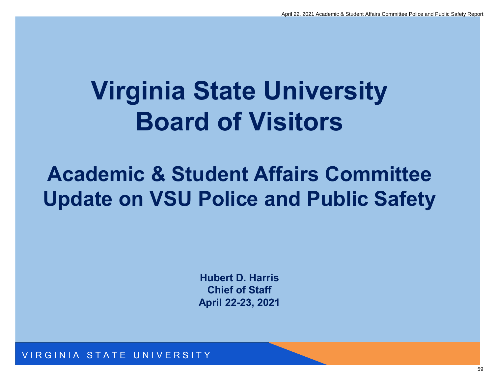## **Virginia State University Board of Visitors**

### **Academic & Student Affairs Committee Update on VSU Police and Public Safety**

**Hubert D. Harris Chief of Staff April 22-23, 2021**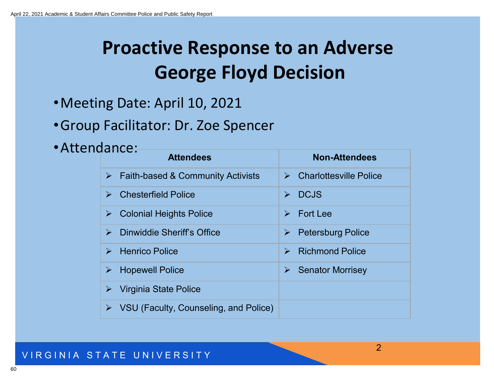### **Proactive Response to an Adverse George Floyd Decision**

- •Meeting Date: April 10, 2021
- •Group Facilitator: Dr. Zoe Spencer
- •Attendance:

| 991102<br><b>Attendees</b>                             | <b>Non-Attendees</b>                              |
|--------------------------------------------------------|---------------------------------------------------|
| $\triangleright$ Faith-based & Community Activists     | $\triangleright$ Charlottesville Police           |
| <b>Chesterfield Police</b>                             | <b>DCJS</b><br>$\blacktriangleright$              |
| $\triangleright$ Colonial Heights Police               | <b>Fort Lee</b><br>$\blacktriangleright$          |
| Dinwiddie Sheriff's Office<br>$\blacktriangleright$    | <b>Petersburg Police</b><br>$\blacktriangleright$ |
| $\triangleright$ Henrico Police                        | <b>Richmond Police</b>                            |
| <b>Hopewell Police</b><br>$\blacktriangleright$        | <b>Senator Morrisey</b><br>$\blacktriangleright$  |
| Virginia State Police                                  |                                                   |
| $\triangleright$ VSU (Faculty, Counseling, and Police) |                                                   |

2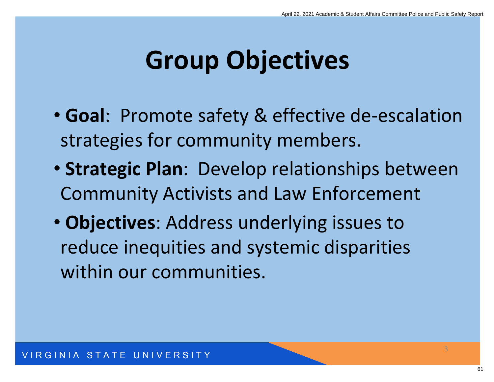## **Group Objectives**

- **Goal**: Promote safety & effective de-escalation strategies for community members.
- **Strategic Plan**: Develop relationships between Community Activists and Law Enforcement
- **Objectives**: Address underlying issues to reduce inequities and systemic disparities within our communities.

3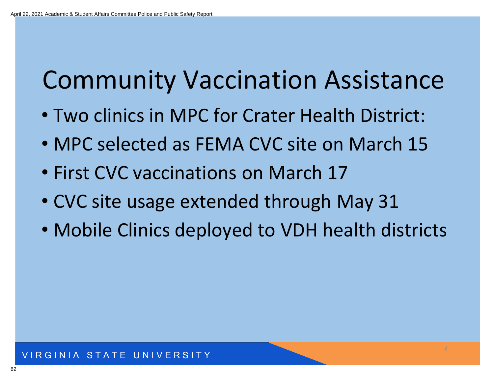## Community Vaccination Assistance

- Two clinics in MPC for Crater Health District:
- MPC selected as FEMA CVC site on March 15
- First CVC vaccinations on March 17
- CVC site usage extended through May 31
- Mobile Clinics deployed to VDH health districts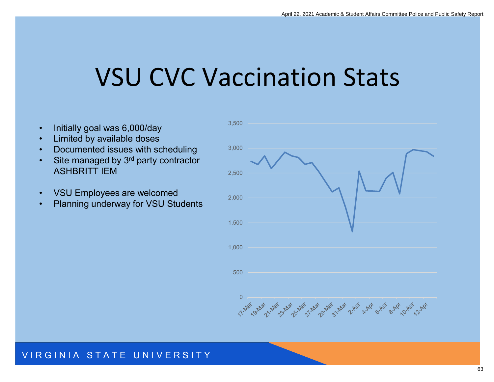## VSU CVC Vaccination Stats

- Initially goal was 6,000/day
- Limited by available doses
- Documented issues with scheduling
- Site managed by 3<sup>rd</sup> party contractor ASHBRITT IEM
- VSU Employees are welcomed
- Planning underway for VSU Students

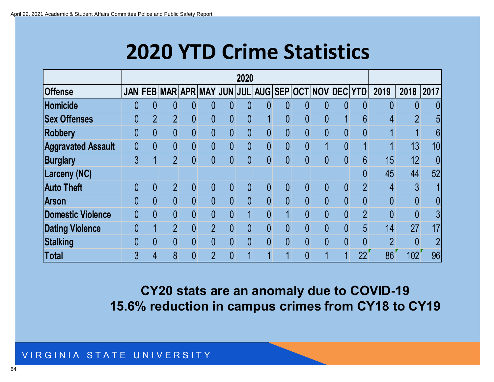### **2020 YTD Crime Statistics**

|                           | 2020           |                |                             |                |                |                |                |                |                |                |                |                         |                |                |                |                |
|---------------------------|----------------|----------------|-----------------------------|----------------|----------------|----------------|----------------|----------------|----------------|----------------|----------------|-------------------------|----------------|----------------|----------------|----------------|
| <b>Offense</b>            |                |                | JAN FEB MAR APR MAY JUN JUL |                |                |                |                |                |                |                |                | AUG SEP OCT NOV DEC YTD |                | 2019           | 2018           | 2017           |
| <b>Homicide</b>           | 0              | 0              | $\overline{0}$              | $\overline{0}$ | 0              | 0              | 0              | $\overline{0}$ | $\overline{0}$ | 0              | 0              | $\overline{0}$          | $\theta$       | 0              | 0              | 0              |
| <b>Sex Offenses</b>       |                | $\overline{2}$ | $\overline{2}$              | $\overline{0}$ | $\overline{0}$ | 0              | $\overline{0}$ | $\mathbf 1$    | $\overline{0}$ | $\overline{0}$ | $\pmb{0}$      |                         | 6              | 4              | $\overline{2}$ | 5              |
| <b>Robbery</b>            | $\overline{0}$ | 0              | $\overline{0}$              | $\overline{0}$ | $\overline{0}$ | $\overline{0}$ | $\overline{0}$ | $\overline{0}$ | $\overline{0}$ | $\overline{0}$ | 0              | $\overline{0}$          | $\overline{0}$ |                |                | 6              |
| <b>Aggravated Assault</b> | 0              | $\overline{0}$ | $\overline{0}$              | $\theta$       | $\overline{0}$ | $\overline{0}$ | $\overline{0}$ | $\overline{0}$ | $\overline{0}$ | $\overline{0}$ |                | $\overline{0}$          |                |                | 13             | 10             |
| <b>Burglary</b>           | $\overline{3}$ |                | $\overline{2}$              | $\overline{0}$ | $\overline{0}$ | $\overline{0}$ | $\overline{0}$ | $\overline{0}$ | $\overline{0}$ | $\overline{0}$ | $\overline{0}$ | $\overline{0}$          | 6              | 15             | 12             | $\overline{0}$ |
| <b>Larceny (NC)</b>       |                |                |                             |                |                |                |                |                |                |                |                |                         | 0              | 45             | 44             | 52             |
| <b>Auto Theft</b>         | 0              | 0              | $\overline{2}$              | $\theta$       | 0              | 0              | 0              | 0              | $\mathbf{0}$   | 0              | 0              | $\theta$                | $\overline{2}$ | 4              | $\overline{3}$ |                |
| <b>Arson</b>              | $\Omega$       | $\overline{0}$ | $\overline{0}$              | $\theta$       | $\overline{0}$ | $\overline{0}$ | $\overline{0}$ | $\overline{0}$ | $\overline{0}$ | $\overline{0}$ | $\overline{0}$ | $\overline{0}$          | $\overline{0}$ | $\overline{0}$ | $\overline{0}$ | 0              |
| <b>Domestic Violence</b>  | 0              | $\overline{0}$ | $\overline{0}$              | $\overline{0}$ | $\overline{0}$ | $\overline{0}$ | $\mathbf 1$    | $\overline{0}$ | $\overline{1}$ | $\overline{0}$ | $\overline{0}$ | $\overline{0}$          | $\overline{2}$ | $\overline{0}$ | $\overline{0}$ | $\overline{3}$ |
| <b>Dating Violence</b>    | $\overline{0}$ |                | $\overline{2}$              | $\overline{0}$ | $\overline{2}$ | $\overline{0}$ | $\overline{0}$ | $\overline{0}$ | $\overline{0}$ | $\overline{0}$ |                | $\overline{0}$          | 5              | 14             | 27             | 17             |
| <b>Stalking</b>           |                | 0              | $\overline{0}$              | $\overline{0}$ | $\overline{0}$ | $\overline{0}$ | $\overline{0}$ | $\overline{0}$ | $\overline{0}$ | $\overline{0}$ | $\overline{0}$ | $\Omega$                | $\overline{0}$ | $\overline{2}$ | $\overline{0}$ | $\overline{2}$ |
| <b>Total</b>              | 3              |                | 8                           | $\overline{0}$ | $\overline{2}$ | $\overline{0}$ |                | 1              | 4              | $\overline{0}$ |                |                         | 22             | 86             | 102            | 96             |

**CY20 stats are an anomaly due to COVID-19 15.6% reduction in campus crimes from CY18 to CY19**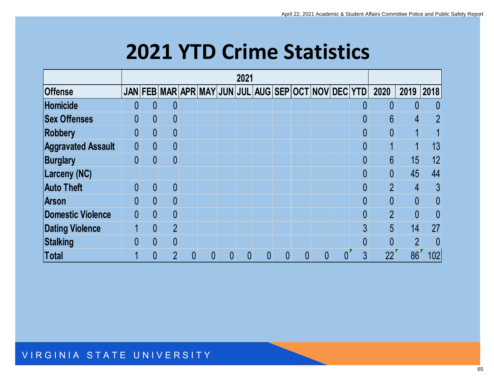### **2021 YTD Crime Statistics**

|                           | 2021           |                |                |                |   |   |   |   |   |   |                                                     |                |                |                |                |
|---------------------------|----------------|----------------|----------------|----------------|---|---|---|---|---|---|-----------------------------------------------------|----------------|----------------|----------------|----------------|
| <b>Offense</b>            |                |                |                |                |   |   |   |   |   |   | JAN FEB MAR APR MAY JUN JUL AUG SEP OCT NOV DEC YTD |                | 2020           | 2019           | 2018           |
| Homicide                  | 0              | 0              | $\theta$       |                |   |   |   |   |   |   |                                                     | 0              | 0              | 0              | $\overline{0}$ |
| <b>Sex Offenses</b>       | 0              | $\overline{0}$ | $\theta$       |                |   |   |   |   |   |   |                                                     | 0              | 6              | 4              | $\overline{2}$ |
| Robbery                   | 0              | $\overline{0}$ | $\theta$       |                |   |   |   |   |   |   |                                                     | 0              | $\overline{0}$ |                |                |
| <b>Aggravated Assault</b> | $\overline{0}$ | 0              | $\theta$       |                |   |   |   |   |   |   |                                                     | 0              |                |                | 13             |
| Burglary                  | $\overline{0}$ | $\overline{0}$ | $\theta$       |                |   |   |   |   |   |   |                                                     | $\overline{0}$ | $6\phantom{1}$ | 15             | 12             |
| Larceny (NC)              |                |                |                |                |   |   |   |   |   |   |                                                     | 0              | $\overline{0}$ | 45             | 44             |
| <b>Auto Theft</b>         | 0              | 0              | $\theta$       |                |   |   |   |   |   |   |                                                     | 0              | $\overline{2}$ | 4              | 3              |
| <b>Arson</b>              | $\overline{0}$ | $\overline{0}$ | $\theta$       |                |   |   |   |   |   |   |                                                     | $\overline{0}$ | $\overline{0}$ | $\overline{0}$ | $\overline{0}$ |
| Domestic Violence         | $\overline{0}$ | $\overline{0}$ | $\theta$       |                |   |   |   |   |   |   |                                                     | 0              | $\overline{2}$ | $\overline{0}$ | $\overline{0}$ |
| <b>Dating Violence</b>    |                | $\overline{0}$ | $\overline{2}$ |                |   |   |   |   |   |   |                                                     | 3              | 5              | 14             | 27             |
| Stalking                  | 0              | 0              | $\theta$       |                |   |   |   |   |   |   |                                                     | 0              | $\overline{0}$ | $\overline{2}$ | $\theta$       |
| Total                     |                | 0              | $\overline{2}$ | $\overline{0}$ | 0 | 0 | 0 | 0 | 0 | 0 | 0                                                   | 3              | 22             | 86             | 102            |